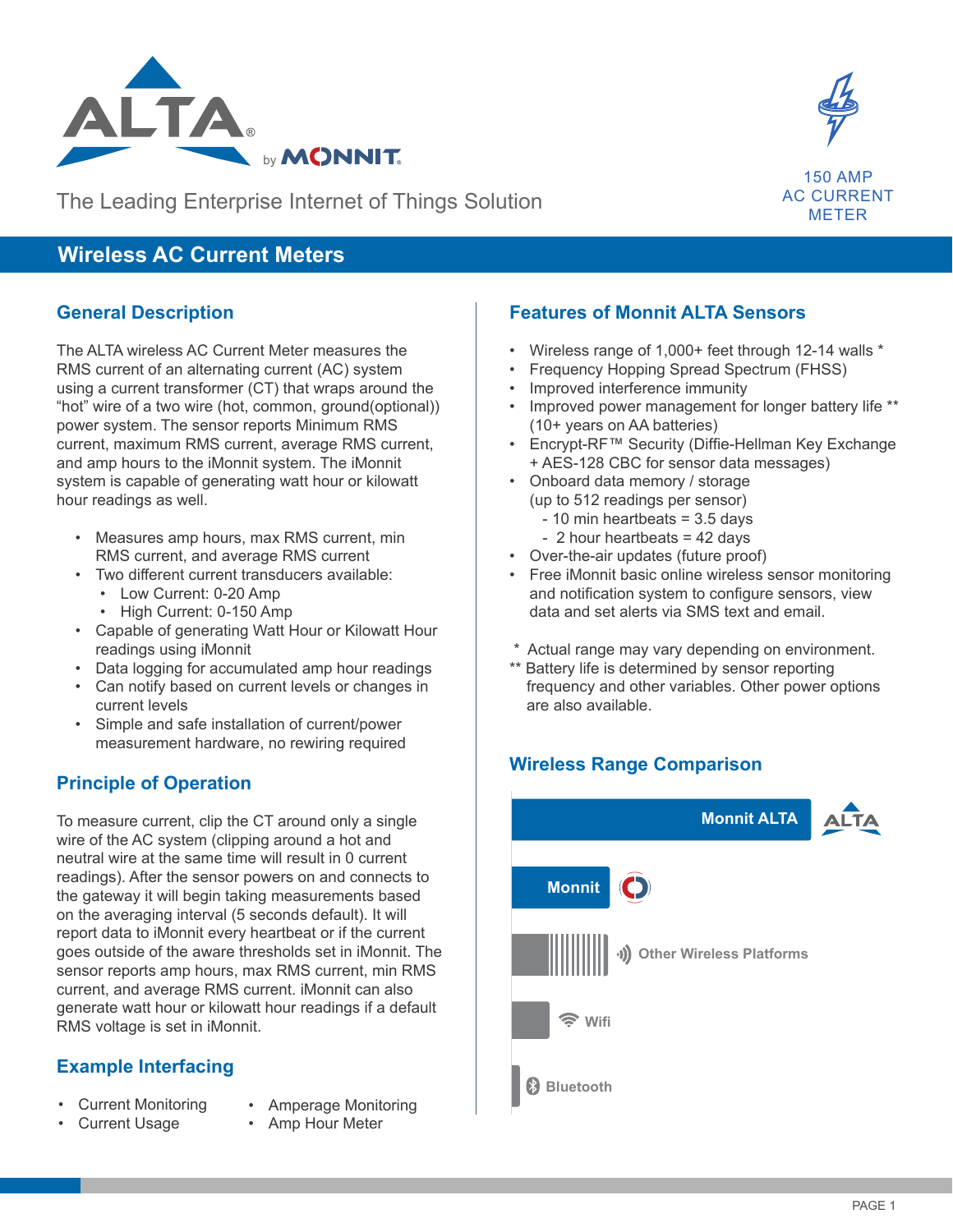



METER

The Leading Enterprise Internet of Things Solution

# **Wireless AC Current Meters**

#### **General Description**

The ALTA wireless AC Current Meter measures the RMS current of an alternating current (AC) system using a current transformer (CT) that wraps around the "hot" wire of a two wire (hot, common, ground(optional)) power system. The sensor reports Minimum RMS current, maximum RMS current, average RMS current, and amp hours to the iMonnit system. The iMonnit system is capable of generating watt hour or kilowatt hour readings as well.

- Measures amp hours, max RMS current, min RMS current, and average RMS current
- Two different current transducers available:
	- Low Current: 0-20 Amp
	- High Current: 0-150 Amp
- Capable of generating Watt Hour or Kilowatt Hour readings using iMonnit
- Data logging for accumulated amp hour readings
- Can notify based on current levels or changes in current levels
- Simple and safe installation of current/power measurement hardware, no rewiring required

### **Principle of Operation**

To measure current, clip the CT around only a single wire of the AC system (clipping around a hot and neutral wire at the same time will result in 0 current readings). After the sensor powers on and connects to the gateway it will begin taking measurements based on the averaging interval (5 seconds default). It will report data to iMonnit every heartbeat or if the current goes outside of the aware thresholds set in iMonnit. The sensor reports amp hours, max RMS current, min RMS current, and average RMS current. iMonnit can also generate watt hour or kilowatt hour readings if a default RMS voltage is set in iMonnit.

### **Example Interfacing**

- Current Monitoring
- Amperage Monitoring
- Current Usage
- Amp Hour Meter

### **Features of Monnit ALTA Sensors**

- Wireless range of 1,000+ feet through 12-14 walls \*
- Frequency Hopping Spread Spectrum (FHSS)
- Improved interference immunity
- Improved power management for longer battery life \*\* (10+ years on AA batteries)
- Encrypt-RF™ Security (Diffie-Hellman Key Exchange + AES-128 CBC for sensor data messages)
- Onboard data memory / storage (up to 512 readings per sensor)
	- $-10$  min heartbeats = 3.5 days
	- 2 hour heartbeats = 42 days
- Over-the-air updates (future proof)
- Free iMonnit basic online wireless sensor monitoring and notification system to configure sensors, view data and set alerts via SMS text and email.
- \* Actual range may vary depending on environment.
- \*\* Battery life is determined by sensor reporting frequency and other variables. Other power options are also available.

# **Wireless Range Comparison Wireless Range Comparison**

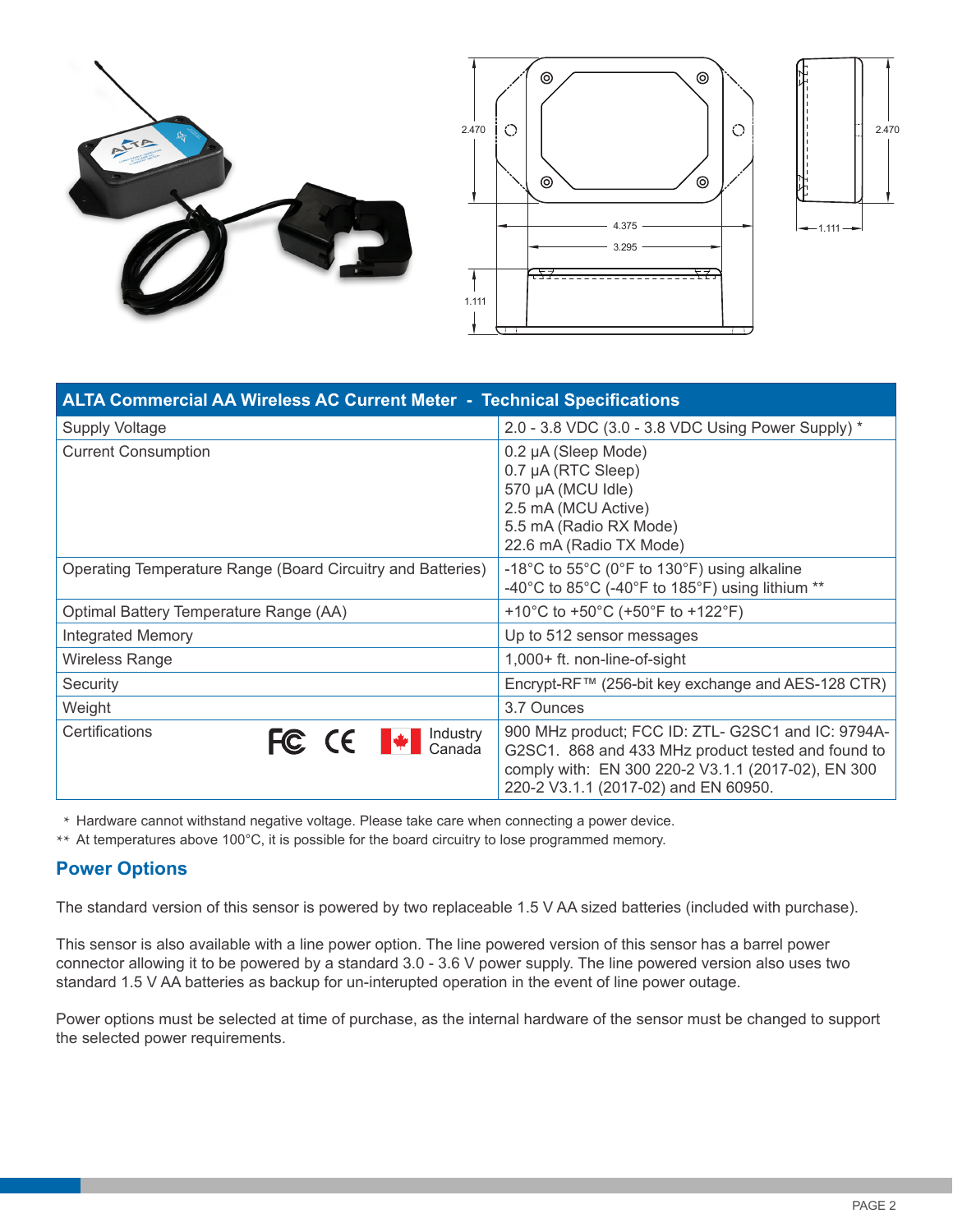





| <b>ALTA Commercial AA Wireless AC Current Meter - Technical Specifications</b> |                                                                                                                                                                                                        |  |
|--------------------------------------------------------------------------------|--------------------------------------------------------------------------------------------------------------------------------------------------------------------------------------------------------|--|
| <b>Supply Voltage</b>                                                          | 2.0 - 3.8 VDC (3.0 - 3.8 VDC Using Power Supply) *                                                                                                                                                     |  |
| <b>Current Consumption</b>                                                     | 0.2 µA (Sleep Mode)<br>0.7 µA (RTC Sleep)<br>570 µA (MCU Idle)<br>2.5 mA (MCU Active)<br>5.5 mA (Radio RX Mode)<br>22.6 mA (Radio TX Mode)                                                             |  |
| Operating Temperature Range (Board Circuitry and Batteries)                    | -18°C to 55°C (0°F to 130°F) using alkaline<br>-40°C to 85°C (-40°F to 185°F) using lithium **                                                                                                         |  |
| Optimal Battery Temperature Range (AA)                                         | +10°C to +50°C (+50°F to +122°F)                                                                                                                                                                       |  |
| <b>Integrated Memory</b>                                                       | Up to 512 sensor messages                                                                                                                                                                              |  |
| Wireless Range                                                                 | $1,000+$ ft. non-line-of-sight                                                                                                                                                                         |  |
| Security                                                                       | Encrypt-RF™ (256-bit key exchange and AES-128 CTR)                                                                                                                                                     |  |
| Weight                                                                         | 3.7 Ounces                                                                                                                                                                                             |  |
| Certifications<br>FC CE Hell Canada                                            | 900 MHz product; FCC ID: ZTL- G2SC1 and IC: 9794A-<br>G2SC1. 868 and 433 MHz product tested and found to<br>comply with: EN 300 220-2 V3.1.1 (2017-02), EN 300<br>220-2 V3.1.1 (2017-02) and EN 60950. |  |

\* Hardware cannot withstand negative voltage. Please take care when connecting a power device.

\*\* At temperatures above 100°C, it is possible for the board circuitry to lose programmed memory.

#### **Power Options**

The standard version of this sensor is powered by two replaceable 1.5 V AA sized batteries (included with purchase).

This sensor is also available with a line power option. The line powered version of this sensor has a barrel power connector allowing it to be powered by a standard 3.0 - 3.6 V power supply. The line powered version also uses two standard 1.5 V AA batteries as backup for un-interupted operation in the event of line power outage.

Power options must be selected at time of purchase, as the internal hardware of the sensor must be changed to support the selected power requirements.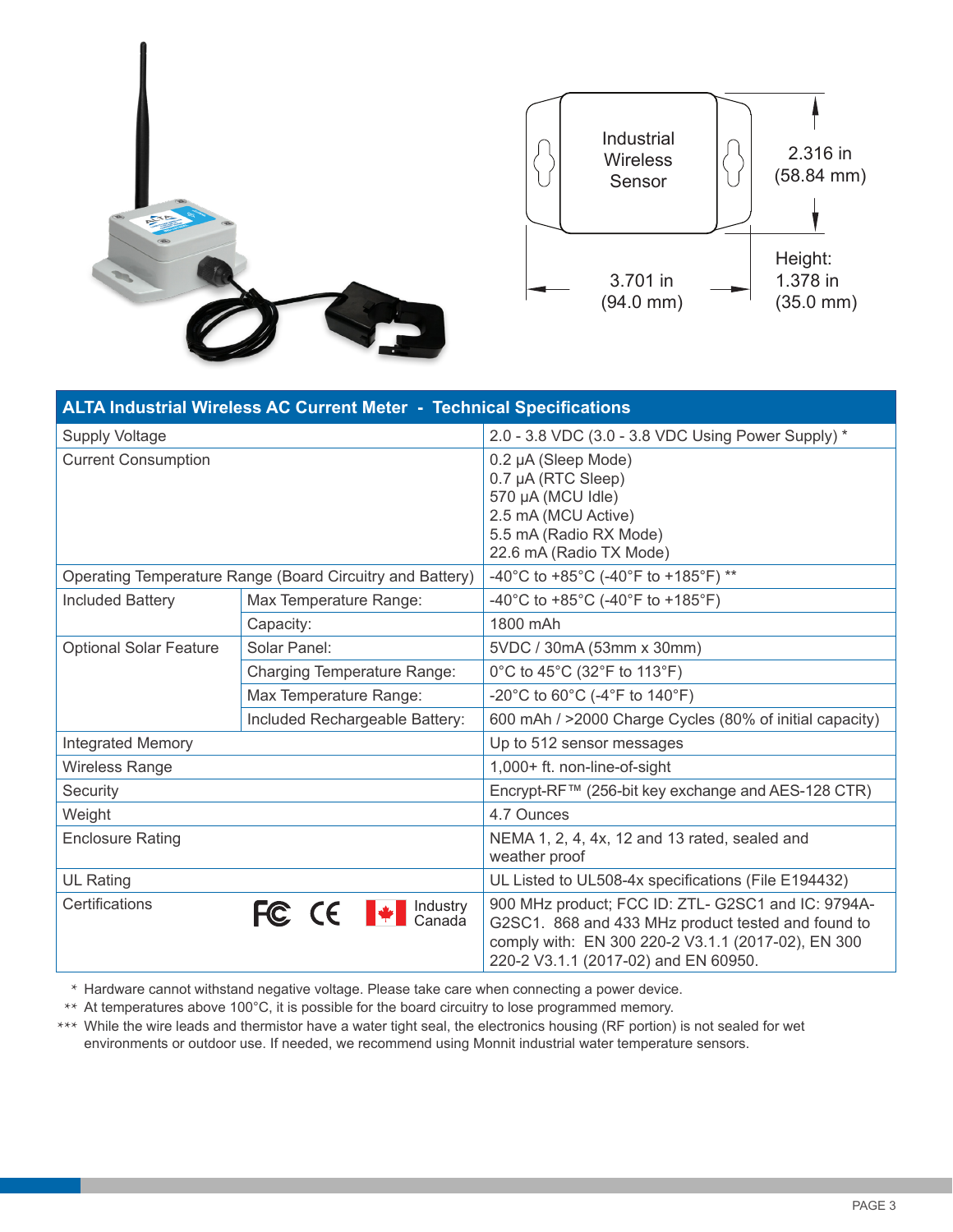

| Industrial<br><b>Wireless</b><br>Sensor | 2.316 in<br>$(58.84$ mm $)$                  |
|-----------------------------------------|----------------------------------------------|
| 3.701 in<br>$(94.0 \, \text{mm})$       | Height:<br>1.378 in<br>$(35.0 \, \text{mm})$ |

| <b>ALTA Industrial Wireless AC Current Meter - Technical Specifications</b> |                                                           |                                                                                                                                                                                                        |  |  |
|-----------------------------------------------------------------------------|-----------------------------------------------------------|--------------------------------------------------------------------------------------------------------------------------------------------------------------------------------------------------------|--|--|
| <b>Supply Voltage</b>                                                       |                                                           | 2.0 - 3.8 VDC (3.0 - 3.8 VDC Using Power Supply) *                                                                                                                                                     |  |  |
| <b>Current Consumption</b>                                                  |                                                           | 0.2 µA (Sleep Mode)<br>0.7 µA (RTC Sleep)<br>570 µA (MCU Idle)<br>2.5 mA (MCU Active)<br>5.5 mA (Radio RX Mode)<br>22.6 mA (Radio TX Mode)                                                             |  |  |
|                                                                             | Operating Temperature Range (Board Circuitry and Battery) | -40°C to +85°C (-40°F to +185°F) **                                                                                                                                                                    |  |  |
| <b>Included Battery</b>                                                     | Max Temperature Range:                                    | -40°C to +85°C (-40°F to +185°F)                                                                                                                                                                       |  |  |
|                                                                             | Capacity:                                                 | 1800 mAh                                                                                                                                                                                               |  |  |
| <b>Optional Solar Feature</b>                                               | Solar Panel:                                              | 5VDC / 30mA (53mm x 30mm)                                                                                                                                                                              |  |  |
|                                                                             | <b>Charging Temperature Range:</b>                        | 0°C to 45°C (32°F to 113°F)                                                                                                                                                                            |  |  |
|                                                                             | Max Temperature Range:                                    | -20°C to 60°C (-4°F to 140°F)                                                                                                                                                                          |  |  |
|                                                                             | Included Rechargeable Battery:                            | 600 mAh / >2000 Charge Cycles (80% of initial capacity)                                                                                                                                                |  |  |
| <b>Integrated Memory</b>                                                    |                                                           | Up to 512 sensor messages                                                                                                                                                                              |  |  |
| <b>Wireless Range</b>                                                       |                                                           | 1,000+ ft. non-line-of-sight                                                                                                                                                                           |  |  |
| Security                                                                    |                                                           | Encrypt-RF™ (256-bit key exchange and AES-128 CTR)                                                                                                                                                     |  |  |
| Weight                                                                      |                                                           | 4.7 Ounces                                                                                                                                                                                             |  |  |
| <b>Enclosure Rating</b>                                                     |                                                           | NEMA 1, 2, 4, 4x, 12 and 13 rated, sealed and<br>weather proof                                                                                                                                         |  |  |
| <b>UL Rating</b>                                                            |                                                           | UL Listed to UL508-4x specifications (File E194432)                                                                                                                                                    |  |  |
| Certifications                                                              | FC CE + Canada                                            | 900 MHz product; FCC ID: ZTL- G2SC1 and IC: 9794A-<br>G2SC1. 868 and 433 MHz product tested and found to<br>comply with: EN 300 220-2 V3.1.1 (2017-02), EN 300<br>220-2 V3.1.1 (2017-02) and EN 60950. |  |  |

\* Hardware cannot withstand negative voltage. Please take care when connecting a power device.

\*\* At temperatures above 100°C, it is possible for the board circuitry to lose programmed memory.

\*\*\* While the wire leads and thermistor have a water tight seal, the electronics housing (RF portion) is not sealed for wet environments or outdoor use. If needed, we recommend using Monnit industrial water temperature sensors.